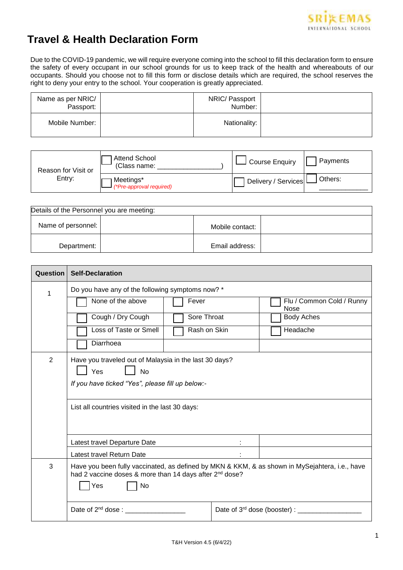

## **Travel & Health Declaration Form**

Due to the COVID-19 pandemic, we will require everyone coming into the school to fill this declaration form to ensure the safety of every occupant in our school grounds for us to keep track of the health and whereabouts of our occupants. Should you choose not to fill this form or disclose details which are required, the school reserves the right to deny your entry to the school. Your cooperation is greatly appreciated.

| Name as per NRIC/<br>Passport: | NRIC/ Passport<br>Number: |  |
|--------------------------------|---------------------------|--|
| Mobile Number:                 | Nationality:              |  |

| Reason for Visit or<br>Entry: | Attend School<br>(Class name:         | Course Enquiry        | Payments |
|-------------------------------|---------------------------------------|-----------------------|----------|
|                               | Meetings*<br>(*Pre-approval required) | Delivery / Services L | Others:  |

| Details of the Personnel you are meeting: |  |                 |  |
|-------------------------------------------|--|-----------------|--|
| Name of personnel:                        |  | Mobile contact: |  |
| Department:                               |  | Email address:  |  |

| Question | <b>Self-Declaration</b>                                                                                                                                                            |  |                                                  |
|----------|------------------------------------------------------------------------------------------------------------------------------------------------------------------------------------|--|--------------------------------------------------|
| 1        | Do you have any of the following symptoms now? *                                                                                                                                   |  |                                                  |
|          | None of the above<br>Fever                                                                                                                                                         |  | Flu / Common Cold / Runny<br>Nose                |
|          | Cough / Dry Cough<br>Sore Throat                                                                                                                                                   |  | <b>Body Aches</b>                                |
|          | Loss of Taste or Smell<br>Rash on Skin                                                                                                                                             |  | Headache                                         |
|          | Diarrhoea                                                                                                                                                                          |  |                                                  |
| 2        | Have you traveled out of Malaysia in the last 30 days?<br>Yes<br><b>No</b><br>If you have ticked "Yes", please fill up below:-<br>List all countries visited in the last 30 days:  |  |                                                  |
|          | Latest travel Departure Date                                                                                                                                                       |  |                                                  |
|          | Latest travel Return Date                                                                                                                                                          |  |                                                  |
| 3        | Have you been fully vaccinated, as defined by MKN & KKM, & as shown in MySejahtera, i.e., have<br>had 2 vaccine doses & more than 14 days after 2 <sup>nd</sup> dose?<br>Yes<br>No |  |                                                  |
|          | Date of 2 <sup>nd</sup> dose : ___________________                                                                                                                                 |  | Date of 3rd dose (booster) : ___________________ |